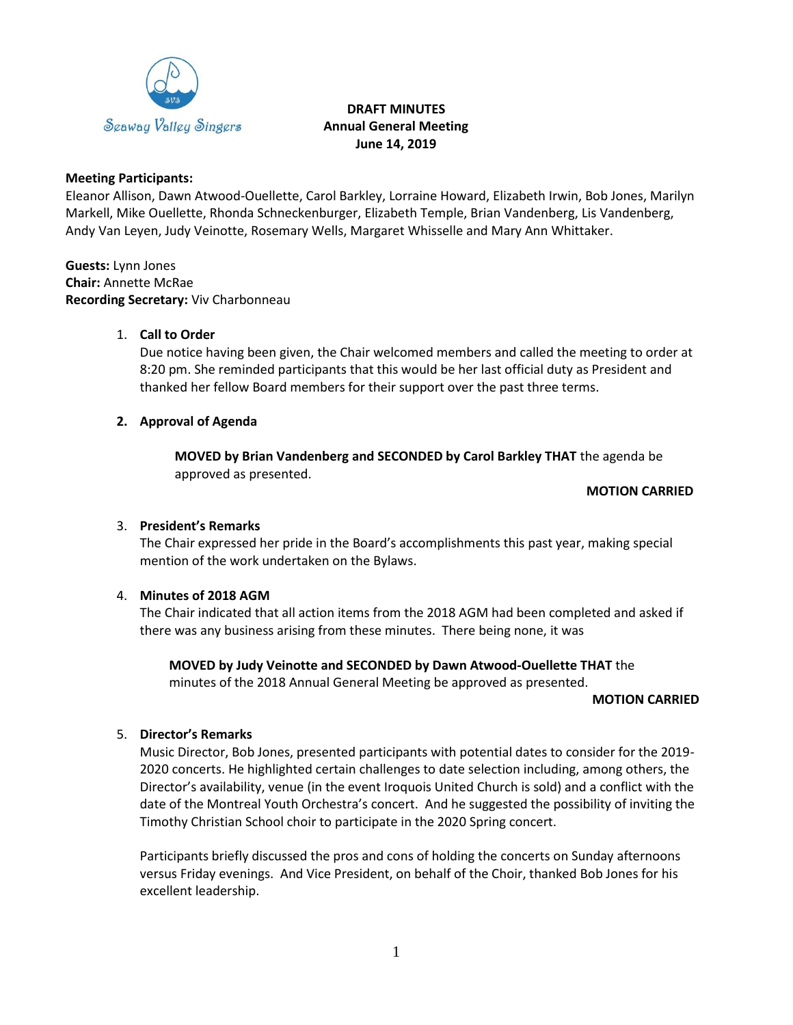

# **DRAFT MINUTES Annual General Meeting June 14, 2019**

## **Meeting Participants:**

Eleanor Allison, Dawn Atwood-Ouellette, Carol Barkley, Lorraine Howard, Elizabeth Irwin, Bob Jones, Marilyn Markell, Mike Ouellette, Rhonda Schneckenburger, Elizabeth Temple, Brian Vandenberg, Lis Vandenberg, Andy Van Leyen, Judy Veinotte, Rosemary Wells, Margaret Whisselle and Mary Ann Whittaker.

**Guests:** Lynn Jones **Chair:** Annette McRae **Recording Secretary:** Viv Charbonneau

## 1. **Call to Order**

Due notice having been given, the Chair welcomed members and called the meeting to order at 8:20 pm. She reminded participants that this would be her last official duty as President and thanked her fellow Board members for their support over the past three terms.

# **2. Approval of Agenda**

**MOVED by Brian Vandenberg and SECONDED by Carol Barkley THAT** the agenda be approved as presented.

## **MOTION CARRIED**

## 3. **President's Remarks**

The Chair expressed her pride in the Board's accomplishments this past year, making special mention of the work undertaken on the Bylaws.

## 4. **Minutes of 2018 AGM**

The Chair indicated that all action items from the 2018 AGM had been completed and asked if there was any business arising from these minutes. There being none, it was

**MOVED by Judy Veinotte and SECONDED by Dawn Atwood-Ouellette THAT** the minutes of the 2018 Annual General Meeting be approved as presented.

## **MOTION CARRIED**

## 5. **Director's Remarks**

Music Director, Bob Jones, presented participants with potential dates to consider for the 2019- 2020 concerts. He highlighted certain challenges to date selection including, among others, the Director's availability, venue (in the event Iroquois United Church is sold) and a conflict with the date of the Montreal Youth Orchestra's concert. And he suggested the possibility of inviting the Timothy Christian School choir to participate in the 2020 Spring concert.

Participants briefly discussed the pros and cons of holding the concerts on Sunday afternoons versus Friday evenings. And Vice President, on behalf of the Choir, thanked Bob Jones for his excellent leadership.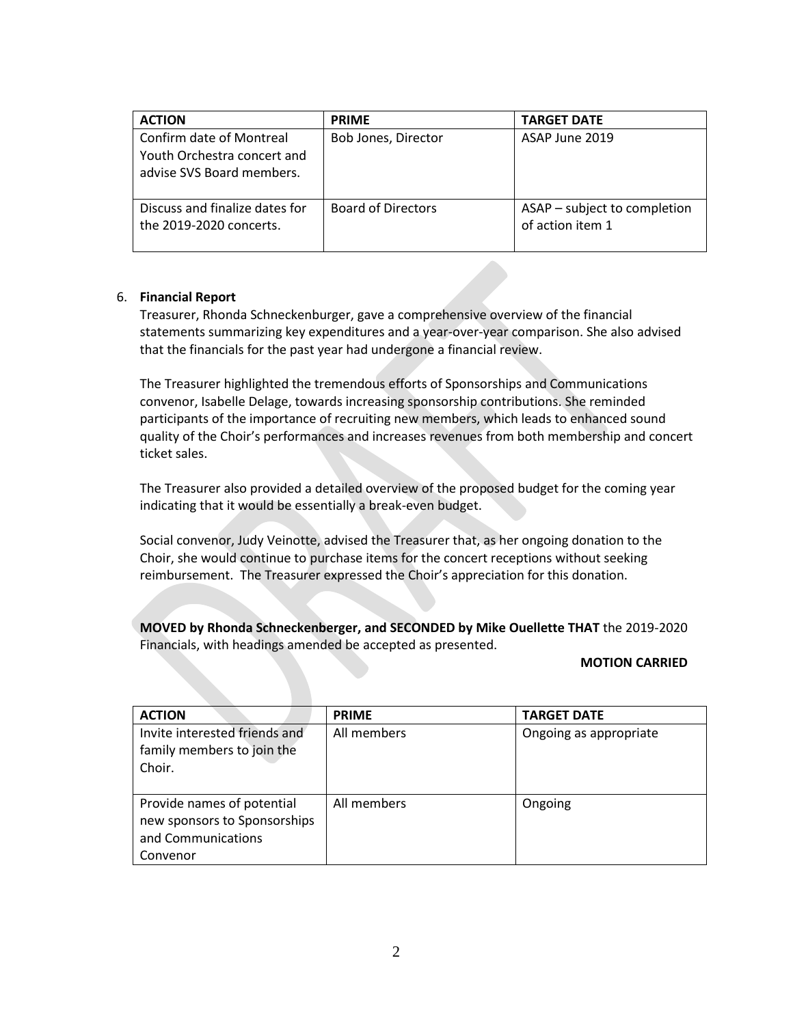| <b>ACTION</b>                                                                        | <b>PRIME</b>              | <b>TARGET DATE</b>                               |
|--------------------------------------------------------------------------------------|---------------------------|--------------------------------------------------|
| Confirm date of Montreal<br>Youth Orchestra concert and<br>advise SVS Board members. | Bob Jones, Director       | ASAP June 2019                                   |
| Discuss and finalize dates for<br>the 2019-2020 concerts.                            | <b>Board of Directors</b> | ASAP - subject to completion<br>of action item 1 |

## 6. **Financial Report**

Treasurer, Rhonda Schneckenburger, gave a comprehensive overview of the financial statements summarizing key expenditures and a year-over-year comparison. She also advised that the financials for the past year had undergone a financial review.

The Treasurer highlighted the tremendous efforts of Sponsorships and Communications convenor, Isabelle Delage, towards increasing sponsorship contributions. She reminded participants of the importance of recruiting new members, which leads to enhanced sound quality of the Choir's performances and increases revenues from both membership and concert ticket sales.

The Treasurer also provided a detailed overview of the proposed budget for the coming year indicating that it would be essentially a break-even budget.

Social convenor, Judy Veinotte, advised the Treasurer that, as her ongoing donation to the Choir, she would continue to purchase items for the concert receptions without seeking reimbursement. The Treasurer expressed the Choir's appreciation for this donation.

**MOVED by Rhonda Schneckenberger, and SECONDED by Mike Ouellette THAT** the 2019-2020 Financials, with headings amended be accepted as presented.

#### **MOTION CARRIED**

| <b>ACTION</b>                                                                                | <b>PRIME</b> | <b>TARGET DATE</b>     |
|----------------------------------------------------------------------------------------------|--------------|------------------------|
| Invite interested friends and<br>family members to join the<br>Choir.                        | All members  | Ongoing as appropriate |
| Provide names of potential<br>new sponsors to Sponsorships<br>and Communications<br>Convenor | All members  | Ongoing                |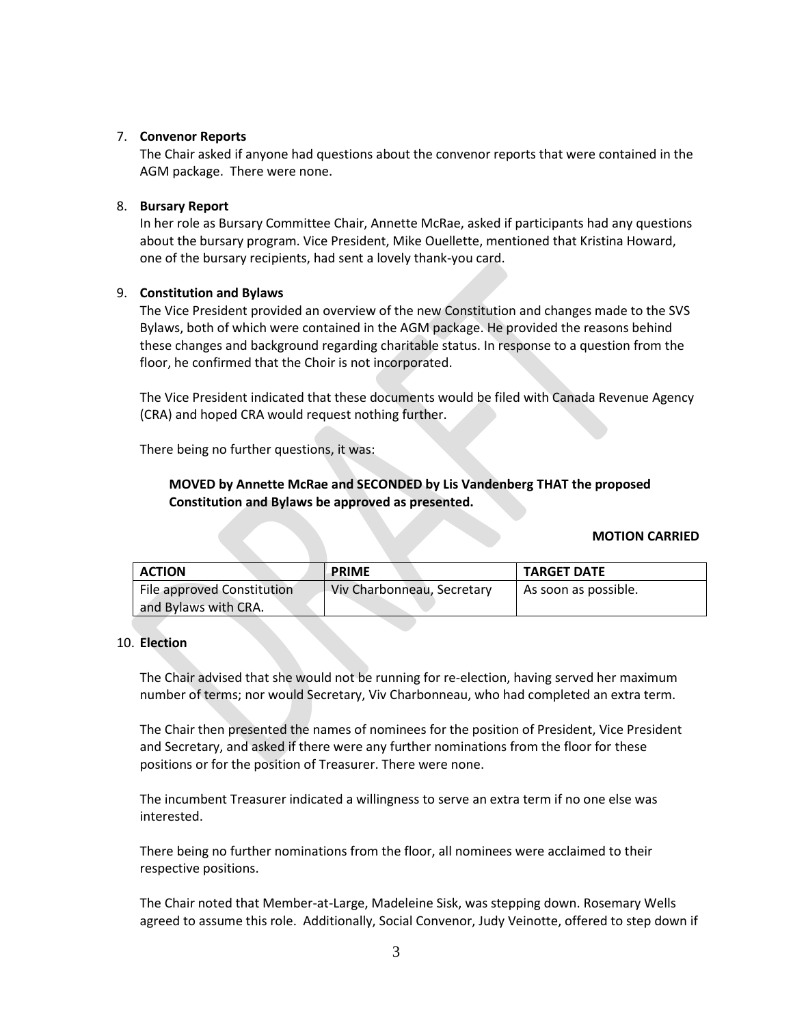### 7. **Convenor Reports**

The Chair asked if anyone had questions about the convenor reports that were contained in the AGM package. There were none.

#### 8. **Bursary Report**

In her role as Bursary Committee Chair, Annette McRae, asked if participants had any questions about the bursary program. Vice President, Mike Ouellette, mentioned that Kristina Howard, one of the bursary recipients, had sent a lovely thank-you card.

### 9. **Constitution and Bylaws**

The Vice President provided an overview of the new Constitution and changes made to the SVS Bylaws, both of which were contained in the AGM package. He provided the reasons behind these changes and background regarding charitable status. In response to a question from the floor, he confirmed that the Choir is not incorporated.

The Vice President indicated that these documents would be filed with Canada Revenue Agency (CRA) and hoped CRA would request nothing further.

There being no further questions, it was:

# **MOVED by Annette McRae and SECONDED by Lis Vandenberg THAT the proposed Constitution and Bylaws be approved as presented.**

#### **MOTION CARRIED**

| <b>ACTION</b>              | <b>PRIME</b>               | <b>TARGET DATE</b>   |
|----------------------------|----------------------------|----------------------|
| File approved Constitution | Viv Charbonneau, Secretary | As soon as possible. |
| and Bylaws with CRA.       |                            |                      |

#### 10. **Election**

The Chair advised that she would not be running for re-election, having served her maximum number of terms; nor would Secretary, Viv Charbonneau, who had completed an extra term.

The Chair then presented the names of nominees for the position of President, Vice President and Secretary, and asked if there were any further nominations from the floor for these positions or for the position of Treasurer. There were none.

The incumbent Treasurer indicated a willingness to serve an extra term if no one else was interested.

There being no further nominations from the floor, all nominees were acclaimed to their respective positions.

The Chair noted that Member-at-Large, Madeleine Sisk, was stepping down. Rosemary Wells agreed to assume this role. Additionally, Social Convenor, Judy Veinotte, offered to step down if